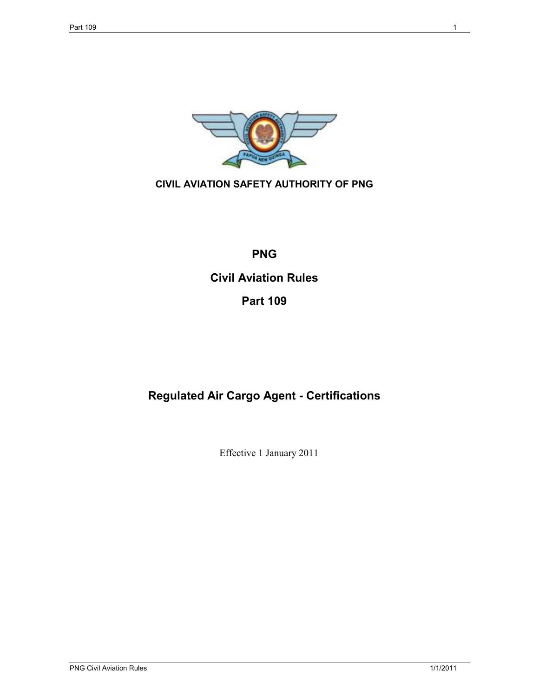

# **CIVIL AVIATION SAFETY AUTHORITY OF PNG**

# **PNG**

# **Civil Aviation Rules**

# **Part 109**

# **Regulated Air Cargo Agent - Certifications**

Effective 1 January 2011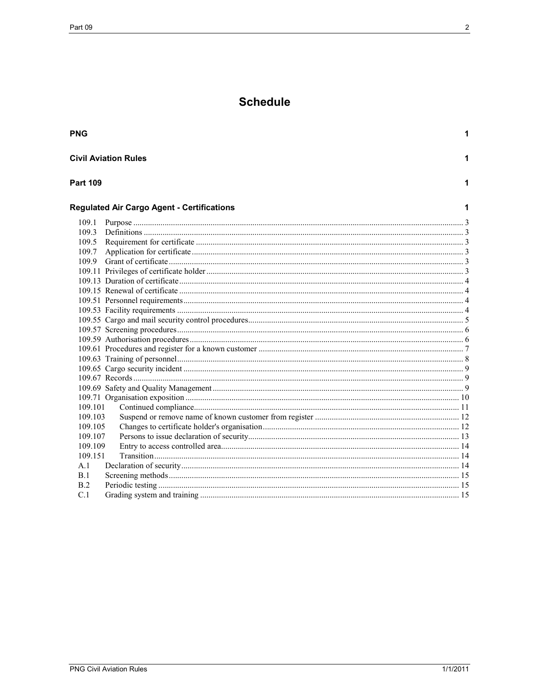# **Schedule**

| <b>PNG</b>      |                                                   | 1 |
|-----------------|---------------------------------------------------|---|
|                 | <b>Civil Aviation Rules</b>                       | 1 |
| <b>Part 109</b> |                                                   | 1 |
|                 | <b>Regulated Air Cargo Agent - Certifications</b> |   |
| 109.1           |                                                   |   |
| 109.3           |                                                   |   |
| 109.5           |                                                   |   |
| 109.7           |                                                   |   |
|                 |                                                   |   |
|                 |                                                   |   |
|                 |                                                   |   |
|                 |                                                   |   |
|                 |                                                   |   |
|                 |                                                   |   |
|                 |                                                   |   |
|                 |                                                   |   |
|                 |                                                   |   |
|                 |                                                   |   |
|                 |                                                   |   |
|                 |                                                   |   |
|                 |                                                   |   |
|                 |                                                   |   |
|                 |                                                   |   |
| 109.101         |                                                   |   |
| 109.103         |                                                   |   |
| 109.105         |                                                   |   |
| 109.107         |                                                   |   |
| 109.109         |                                                   |   |
| 109.151         |                                                   |   |
| A.1<br>B. 1     |                                                   |   |
| B.2             |                                                   |   |
| C.1             |                                                   |   |
|                 |                                                   |   |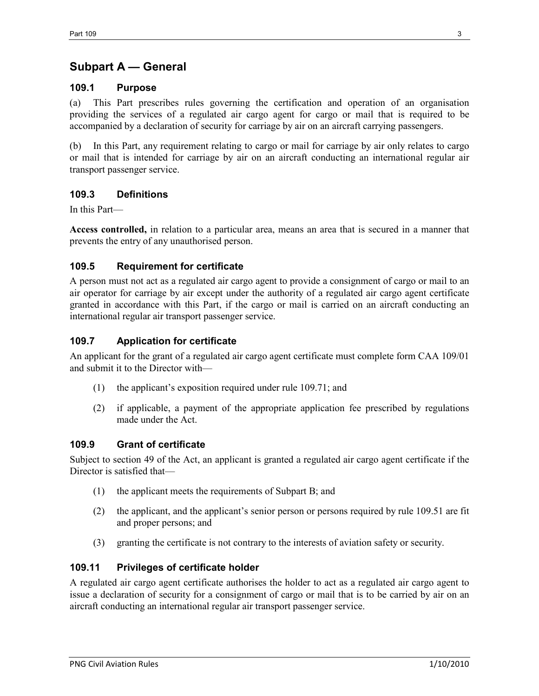# **Subpart A — General**

#### **109.1 Purpose**

(a) This Part prescribes rules governing the certification and operation of an organisation providing the services of a regulated air cargo agent for cargo or mail that is required to be accompanied by a declaration of security for carriage by air on an aircraft carrying passengers.

(b) In this Part, any requirement relating to cargo or mail for carriage by air only relates to cargo or mail that is intended for carriage by air on an aircraft conducting an international regular air transport passenger service.

## **109.3 Definitions**

In this Part—

**Access controlled,** in relation to a particular area, means an area that is secured in a manner that prevents the entry of any unauthorised person.

## **109.5 Requirement for certificate**

A person must not act as a regulated air cargo agent to provide a consignment of cargo or mail to an air operator for carriage by air except under the authority of a regulated air cargo agent certificate granted in accordance with this Part, if the cargo or mail is carried on an aircraft conducting an international regular air transport passenger service.

## **109.7 Application for certificate**

An applicant for the grant of a regulated air cargo agent certificate must complete form CAA 109/01 and submit it to the Director with—

- (1) the applicant's exposition required under rule 109.71; and
- (2) if applicable, a payment of the appropriate application fee prescribed by regulations made under the Act.

## **109.9 Grant of certificate**

Subject to section 49 of the Act, an applicant is granted a regulated air cargo agent certificate if the Director is satisfied that—

- (1) the applicant meets the requirements of Subpart B; and
- (2) the applicant, and the applicant's senior person or persons required by rule 109.51 are fit and proper persons; and
- (3) granting the certificate is not contrary to the interests of aviation safety or security.

## **109.11 Privileges of certificate holder**

A regulated air cargo agent certificate authorises the holder to act as a regulated air cargo agent to issue a declaration of security for a consignment of cargo or mail that is to be carried by air on an aircraft conducting an international regular air transport passenger service.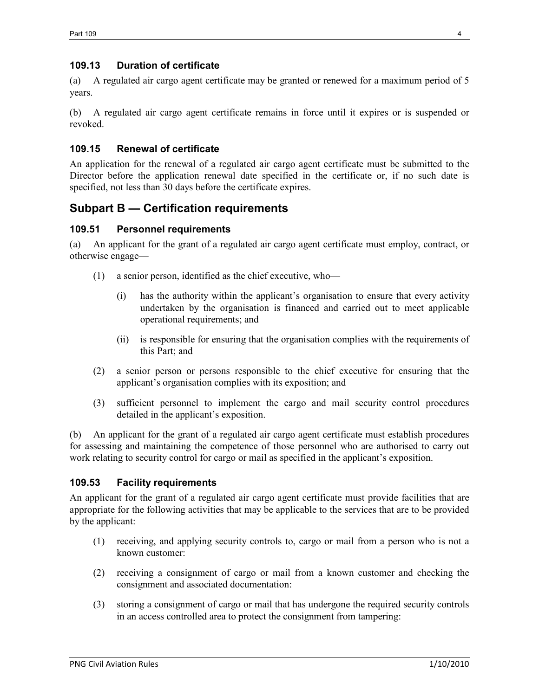## **109.13 Duration of certificate**

(a) A regulated air cargo agent certificate may be granted or renewed for a maximum period of 5 years.

(b) A regulated air cargo agent certificate remains in force until it expires or is suspended or revoked.

## **109.15 Renewal of certificate**

An application for the renewal of a regulated air cargo agent certificate must be submitted to the Director before the application renewal date specified in the certificate or, if no such date is specified, not less than 30 days before the certificate expires.

# **Subpart B — Certification requirements**

#### **109.51 Personnel requirements**

(a) An applicant for the grant of a regulated air cargo agent certificate must employ, contract, or otherwise engage—

- (1) a senior person, identified as the chief executive, who—
	- (i) has the authority within the applicant's organisation to ensure that every activity undertaken by the organisation is financed and carried out to meet applicable operational requirements; and
	- (ii) is responsible for ensuring that the organisation complies with the requirements of this Part; and
- (2) a senior person or persons responsible to the chief executive for ensuring that the applicant's organisation complies with its exposition; and
- (3) sufficient personnel to implement the cargo and mail security control procedures detailed in the applicant's exposition.

(b) An applicant for the grant of a regulated air cargo agent certificate must establish procedures for assessing and maintaining the competence of those personnel who are authorised to carry out work relating to security control for cargo or mail as specified in the applicant's exposition.

## **109.53 Facility requirements**

An applicant for the grant of a regulated air cargo agent certificate must provide facilities that are appropriate for the following activities that may be applicable to the services that are to be provided by the applicant:

- (1) receiving, and applying security controls to, cargo or mail from a person who is not a known customer:
- (2) receiving a consignment of cargo or mail from a known customer and checking the consignment and associated documentation:
- (3) storing a consignment of cargo or mail that has undergone the required security controls in an access controlled area to protect the consignment from tampering: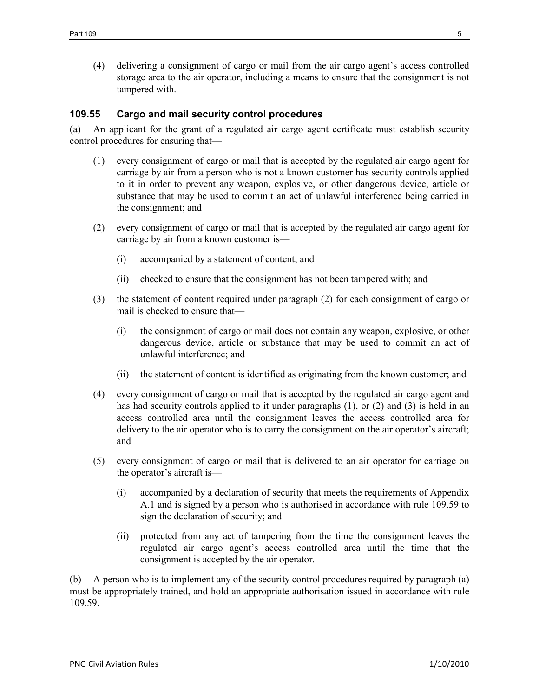(4) delivering a consignment of cargo or mail from the air cargo agent's access controlled storage area to the air operator, including a means to ensure that the consignment is not tampered with.

#### **109.55 Cargo and mail security control procedures**

(a) An applicant for the grant of a regulated air cargo agent certificate must establish security control procedures for ensuring that—

- (1) every consignment of cargo or mail that is accepted by the regulated air cargo agent for carriage by air from a person who is not a known customer has security controls applied to it in order to prevent any weapon, explosive, or other dangerous device, article or substance that may be used to commit an act of unlawful interference being carried in the consignment; and
- (2) every consignment of cargo or mail that is accepted by the regulated air cargo agent for carriage by air from a known customer is—
	- (i) accompanied by a statement of content; and
	- (ii) checked to ensure that the consignment has not been tampered with; and
- (3) the statement of content required under paragraph (2) for each consignment of cargo or mail is checked to ensure that—
	- (i) the consignment of cargo or mail does not contain any weapon, explosive, or other dangerous device, article or substance that may be used to commit an act of unlawful interference; and
	- (ii) the statement of content is identified as originating from the known customer; and
- (4) every consignment of cargo or mail that is accepted by the regulated air cargo agent and has had security controls applied to it under paragraphs (1), or (2) and (3) is held in an access controlled area until the consignment leaves the access controlled area for delivery to the air operator who is to carry the consignment on the air operator's aircraft; and
- (5) every consignment of cargo or mail that is delivered to an air operator for carriage on the operator's aircraft is—
	- (i) accompanied by a declaration of security that meets the requirements of Appendix A.1 and is signed by a person who is authorised in accordance with rule 109.59 to sign the declaration of security; and
	- (ii) protected from any act of tampering from the time the consignment leaves the regulated air cargo agent's access controlled area until the time that the consignment is accepted by the air operator.

(b) A person who is to implement any of the security control procedures required by paragraph (a) must be appropriately trained, and hold an appropriate authorisation issued in accordance with rule 109.59.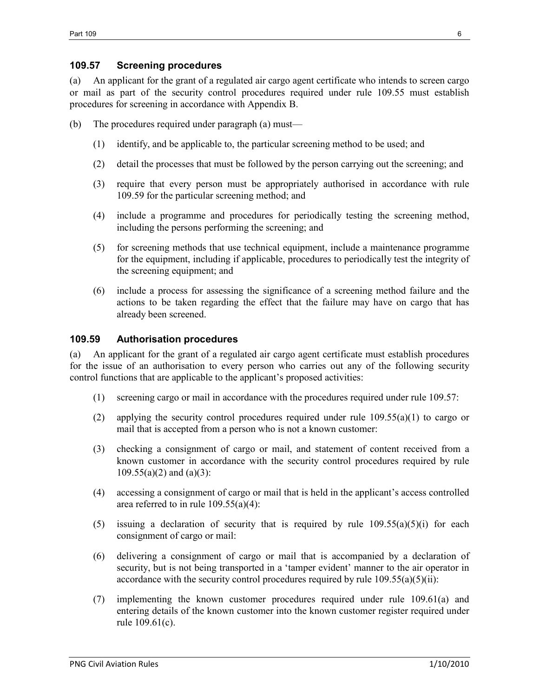#### **109.57 Screening procedures**

(a) An applicant for the grant of a regulated air cargo agent certificate who intends to screen cargo or mail as part of the security control procedures required under rule 109.55 must establish procedures for screening in accordance with Appendix B.

- (b) The procedures required under paragraph (a) must—
	- (1) identify, and be applicable to, the particular screening method to be used; and
	- (2) detail the processes that must be followed by the person carrying out the screening; and
	- (3) require that every person must be appropriately authorised in accordance with rule 109.59 for the particular screening method; and
	- (4) include a programme and procedures for periodically testing the screening method, including the persons performing the screening; and
	- (5) for screening methods that use technical equipment, include a maintenance programme for the equipment, including if applicable, procedures to periodically test the integrity of the screening equipment; and
	- (6) include a process for assessing the significance of a screening method failure and the actions to be taken regarding the effect that the failure may have on cargo that has already been screened.

#### **109.59 Authorisation procedures**

(a) An applicant for the grant of a regulated air cargo agent certificate must establish procedures for the issue of an authorisation to every person who carries out any of the following security control functions that are applicable to the applicant's proposed activities:

- (1) screening cargo or mail in accordance with the procedures required under rule 109.57:
- (2) applying the security control procedures required under rule  $109.55(a)(1)$  to cargo or mail that is accepted from a person who is not a known customer:
- (3) checking a consignment of cargo or mail, and statement of content received from a known customer in accordance with the security control procedures required by rule 109.55(a)(2) and (a)(3):
- (4) accessing a consignment of cargo or mail that is held in the applicant's access controlled area referred to in rule  $109.55(a)(4)$ :
- (5) issuing a declaration of security that is required by rule  $109.55(a)(5)(i)$  for each consignment of cargo or mail:
- (6) delivering a consignment of cargo or mail that is accompanied by a declaration of security, but is not being transported in a 'tamper evident' manner to the air operator in accordance with the security control procedures required by rule  $109.55(a)(5)(ii)$ :
- (7) implementing the known customer procedures required under rule 109.61(a) and entering details of the known customer into the known customer register required under rule 109.61(c).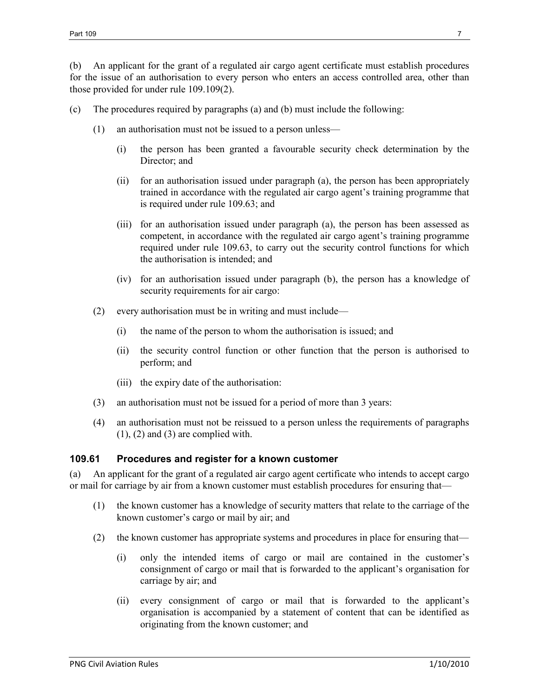(b) An applicant for the grant of a regulated air cargo agent certificate must establish procedures for the issue of an authorisation to every person who enters an access controlled area, other than those provided for under rule 109.109(2).

- (c) The procedures required by paragraphs (a) and (b) must include the following:
	- (1) an authorisation must not be issued to a person unless—
		- (i) the person has been granted a favourable security check determination by the Director; and
		- (ii) for an authorisation issued under paragraph (a), the person has been appropriately trained in accordance with the regulated air cargo agent's training programme that is required under rule 109.63; and
		- (iii) for an authorisation issued under paragraph (a), the person has been assessed as competent, in accordance with the regulated air cargo agent's training programme required under rule 109.63, to carry out the security control functions for which the authorisation is intended; and
		- (iv) for an authorisation issued under paragraph (b), the person has a knowledge of security requirements for air cargo:
	- (2) every authorisation must be in writing and must include—
		- (i) the name of the person to whom the authorisation is issued; and
		- (ii) the security control function or other function that the person is authorised to perform; and
		- (iii) the expiry date of the authorisation:
	- (3) an authorisation must not be issued for a period of more than 3 years:
	- (4) an authorisation must not be reissued to a person unless the requirements of paragraphs  $(1)$ ,  $(2)$  and  $(3)$  are complied with.

## **109.61 Procedures and register for a known customer**

(a) An applicant for the grant of a regulated air cargo agent certificate who intends to accept cargo or mail for carriage by air from a known customer must establish procedures for ensuring that—

- (1) the known customer has a knowledge of security matters that relate to the carriage of the known customer's cargo or mail by air; and
- (2) the known customer has appropriate systems and procedures in place for ensuring that—
	- (i) only the intended items of cargo or mail are contained in the customer's consignment of cargo or mail that is forwarded to the applicant's organisation for carriage by air; and
	- (ii) every consignment of cargo or mail that is forwarded to the applicant's organisation is accompanied by a statement of content that can be identified as originating from the known customer; and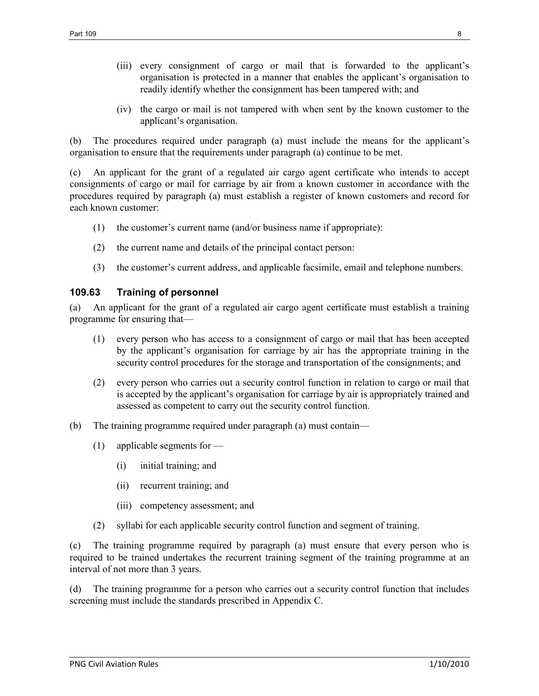- (iii) every consignment of cargo or mail that is forwarded to the applicant's organisation is protected in a manner that enables the applicant's organisation to readily identify whether the consignment has been tampered with; and
- (iv) the cargo or mail is not tampered with when sent by the known customer to the applicant's organisation.

(b) The procedures required under paragraph (a) must include the means for the applicant's organisation to ensure that the requirements under paragraph (a) continue to be met.

(c) An applicant for the grant of a regulated air cargo agent certificate who intends to accept consignments of cargo or mail for carriage by air from a known customer in accordance with the procedures required by paragraph (a) must establish a register of known customers and record for each known customer:

- (1) the customer's current name (and/or business name if appropriate):
- (2) the current name and details of the principal contact person:
- (3) the customer's current address, and applicable facsimile, email and telephone numbers.

#### **109.63 Training of personnel**

(a) An applicant for the grant of a regulated air cargo agent certificate must establish a training programme for ensuring that—

- (1) every person who has access to a consignment of cargo or mail that has been accepted by the applicant's organisation for carriage by air has the appropriate training in the security control procedures for the storage and transportation of the consignments; and
- (2) every person who carries out a security control function in relation to cargo or mail that is accepted by the applicant's organisation for carriage by air is appropriately trained and assessed as competent to carry out the security control function.
- (b) The training programme required under paragraph (a) must contain—
	- (1) applicable segments for
		- (i) initial training; and
		- (ii) recurrent training; and
		- (iii) competency assessment; and
	- (2) syllabi for each applicable security control function and segment of training.

(c) The training programme required by paragraph (a) must ensure that every person who is required to be trained undertakes the recurrent training segment of the training programme at an interval of not more than 3 years.

(d) The training programme for a person who carries out a security control function that includes screening must include the standards prescribed in Appendix C.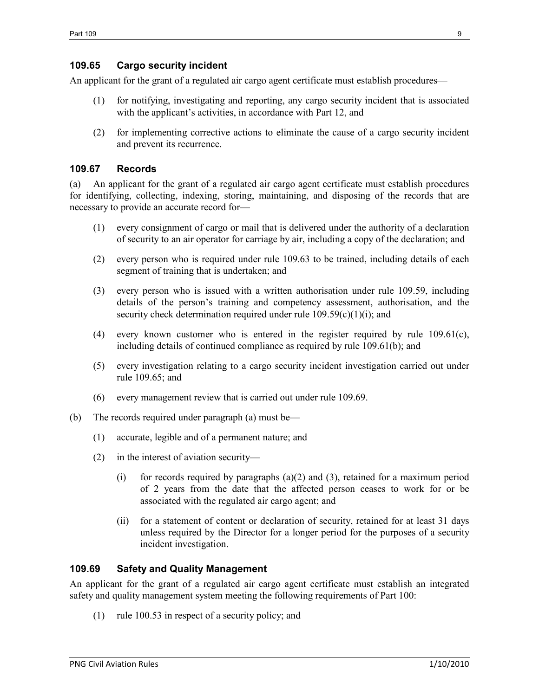## **109.65 Cargo security incident**

An applicant for the grant of a regulated air cargo agent certificate must establish procedures—

- (1) for notifying, investigating and reporting, any cargo security incident that is associated with the applicant's activities, in accordance with Part 12, and
- (2) for implementing corrective actions to eliminate the cause of a cargo security incident and prevent its recurrence.

## **109.67 Records**

(a) An applicant for the grant of a regulated air cargo agent certificate must establish procedures for identifying, collecting, indexing, storing, maintaining, and disposing of the records that are necessary to provide an accurate record for—

- (1) every consignment of cargo or mail that is delivered under the authority of a declaration of security to an air operator for carriage by air, including a copy of the declaration; and
- (2) every person who is required under rule 109.63 to be trained, including details of each segment of training that is undertaken; and
- (3) every person who is issued with a written authorisation under rule 109.59, including details of the person's training and competency assessment, authorisation, and the security check determination required under rule  $109.59(c)(1)(i)$ ; and
- (4) every known customer who is entered in the register required by rule 109.61(c), including details of continued compliance as required by rule 109.61(b); and
- (5) every investigation relating to a cargo security incident investigation carried out under rule 109.65; and
- (6) every management review that is carried out under rule 109.69.
- (b) The records required under paragraph (a) must be—
	- (1) accurate, legible and of a permanent nature; and
	- (2) in the interest of aviation security—
		- (i) for records required by paragraphs (a)(2) and (3), retained for a maximum period of 2 years from the date that the affected person ceases to work for or be associated with the regulated air cargo agent; and
		- (ii) for a statement of content or declaration of security, retained for at least 31 days unless required by the Director for a longer period for the purposes of a security incident investigation.

## **109.69 Safety and Quality Management**

An applicant for the grant of a regulated air cargo agent certificate must establish an integrated safety and quality management system meeting the following requirements of Part 100:

(1) rule 100.53 in respect of a security policy; and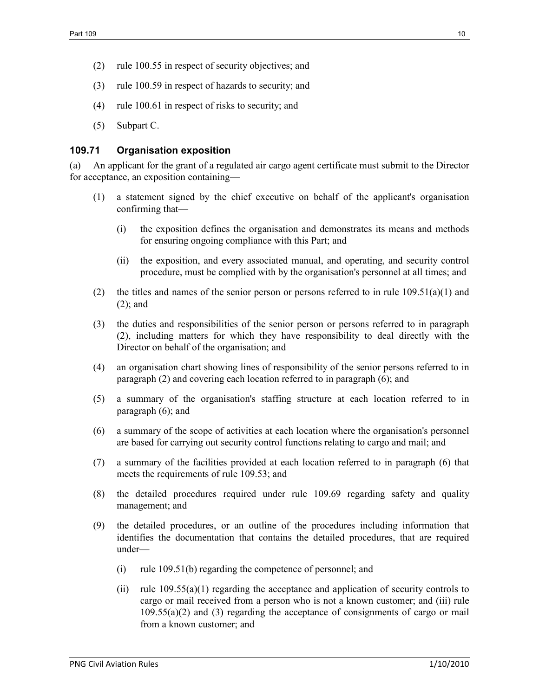- (2) rule 100.55 in respect of security objectives; and
- (3) rule 100.59 in respect of hazards to security; and
- (4) rule 100.61 in respect of risks to security; and
- (5) Subpart C.

#### **109.71 Organisation exposition**

(a) An applicant for the grant of a regulated air cargo agent certificate must submit to the Director for acceptance, an exposition containing—

- (1) a statement signed by the chief executive on behalf of the applicant's organisation confirming that—
	- (i) the exposition defines the organisation and demonstrates its means and methods for ensuring ongoing compliance with this Part; and
	- (ii) the exposition, and every associated manual, and operating, and security control procedure, must be complied with by the organisation's personnel at all times; and
- (2) the titles and names of the senior person or persons referred to in rule  $109.51(a)(1)$  and (2); and
- (3) the duties and responsibilities of the senior person or persons referred to in paragraph (2), including matters for which they have responsibility to deal directly with the Director on behalf of the organisation; and
- (4) an organisation chart showing lines of responsibility of the senior persons referred to in paragraph (2) and covering each location referred to in paragraph (6); and
- (5) a summary of the organisation's staffing structure at each location referred to in paragraph (6); and
- (6) a summary of the scope of activities at each location where the organisation's personnel are based for carrying out security control functions relating to cargo and mail; and
- (7) a summary of the facilities provided at each location referred to in paragraph (6) that meets the requirements of rule 109.53; and
- (8) the detailed procedures required under rule 109.69 regarding safety and quality management; and
- (9) the detailed procedures, or an outline of the procedures including information that identifies the documentation that contains the detailed procedures, that are required under—
	- (i) rule 109.51(b) regarding the competence of personnel; and
	- (ii) rule  $109.55(a)(1)$  regarding the acceptance and application of security controls to cargo or mail received from a person who is not a known customer; and (iii) rule 109.55(a)(2) and (3) regarding the acceptance of consignments of cargo or mail from a known customer; and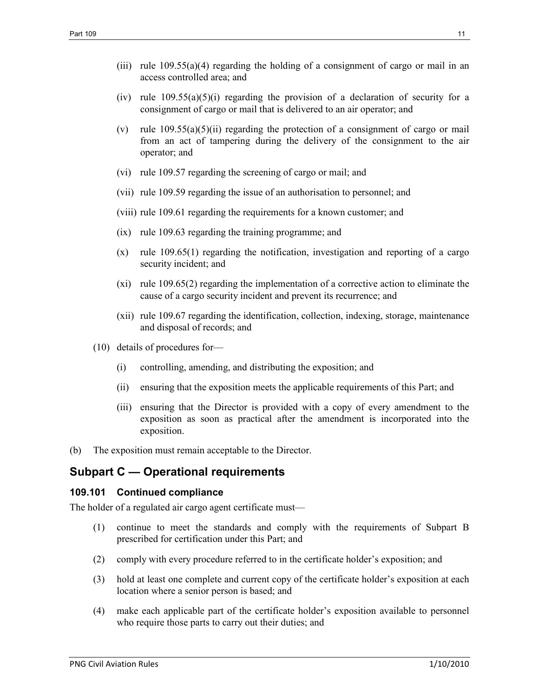- (iii) rule  $109.55(a)(4)$  regarding the holding of a consignment of cargo or mail in an access controlled area; and
- (iv) rule  $109.55(a)(5)(i)$  regarding the provision of a declaration of security for a consignment of cargo or mail that is delivered to an air operator; and
- (v) rule  $109.55(a)(5)(ii)$  regarding the protection of a consignment of cargo or mail from an act of tampering during the delivery of the consignment to the air operator; and
- (vi) rule 109.57 regarding the screening of cargo or mail; and
- (vii) rule 109.59 regarding the issue of an authorisation to personnel; and
- (viii) rule 109.61 regarding the requirements for a known customer; and
- (ix) rule 109.63 regarding the training programme; and
- (x) rule 109.65(1) regarding the notification, investigation and reporting of a cargo security incident; and
- (xi) rule 109.65(2) regarding the implementation of a corrective action to eliminate the cause of a cargo security incident and prevent its recurrence; and
- (xii) rule 109.67 regarding the identification, collection, indexing, storage, maintenance and disposal of records; and
- (10) details of procedures for—
	- (i) controlling, amending, and distributing the exposition; and
	- (ii) ensuring that the exposition meets the applicable requirements of this Part; and
	- (iii) ensuring that the Director is provided with a copy of every amendment to the exposition as soon as practical after the amendment is incorporated into the exposition.
- (b) The exposition must remain acceptable to the Director.

# **Subpart C — Operational requirements**

#### **109.101 Continued compliance**

The holder of a regulated air cargo agent certificate must—

- (1) continue to meet the standards and comply with the requirements of Subpart B prescribed for certification under this Part; and
- (2) comply with every procedure referred to in the certificate holder's exposition; and
- (3) hold at least one complete and current copy of the certificate holder's exposition at each location where a senior person is based; and
- (4) make each applicable part of the certificate holder's exposition available to personnel who require those parts to carry out their duties; and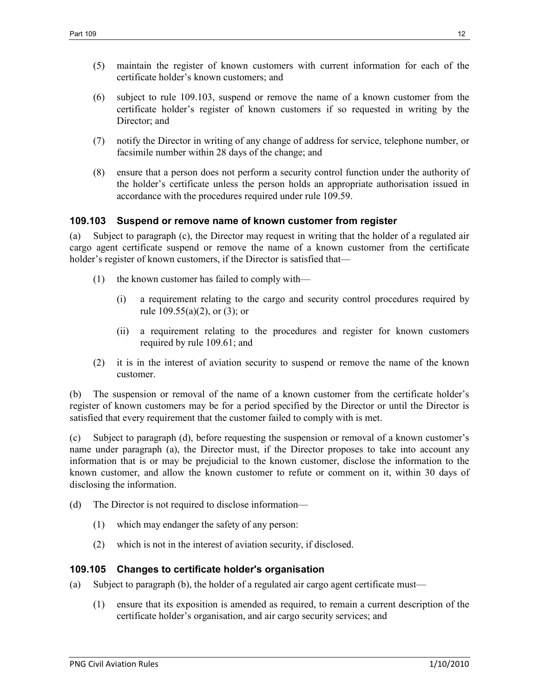- (5) maintain the register of known customers with current information for each of the certificate holder's known customers; and
- (6) subject to rule 109.103, suspend or remove the name of a known customer from the certificate holder's register of known customers if so requested in writing by the Director; and
- (7) notify the Director in writing of any change of address for service, telephone number, or facsimile number within 28 days of the change; and
- (8) ensure that a person does not perform a security control function under the authority of the holder's certificate unless the person holds an appropriate authorisation issued in accordance with the procedures required under rule 109.59.

#### **109.103 Suspend or remove name of known customer from register**

(a) Subject to paragraph (c), the Director may request in writing that the holder of a regulated air cargo agent certificate suspend or remove the name of a known customer from the certificate holder's register of known customers, if the Director is satisfied that—

- (1) the known customer has failed to comply with—
	- (i) a requirement relating to the cargo and security control procedures required by rule  $109.55(a)(2)$ , or  $(3)$ ; or
	- (ii) a requirement relating to the procedures and register for known customers required by rule 109.61; and
- (2) it is in the interest of aviation security to suspend or remove the name of the known customer.

(b) The suspension or removal of the name of a known customer from the certificate holder's register of known customers may be for a period specified by the Director or until the Director is satisfied that every requirement that the customer failed to comply with is met.

(c) Subject to paragraph (d), before requesting the suspension or removal of a known customer's name under paragraph (a), the Director must, if the Director proposes to take into account any information that is or may be prejudicial to the known customer, disclose the information to the known customer, and allow the known customer to refute or comment on it, within 30 days of disclosing the information.

- (d) The Director is not required to disclose information—
	- (1) which may endanger the safety of any person:
	- (2) which is not in the interest of aviation security, if disclosed.

#### **109.105 Changes to certificate holder's organisation**

- (a) Subject to paragraph (b), the holder of a regulated air cargo agent certificate must—
	- (1) ensure that its exposition is amended as required, to remain a current description of the certificate holder's organisation, and air cargo security services; and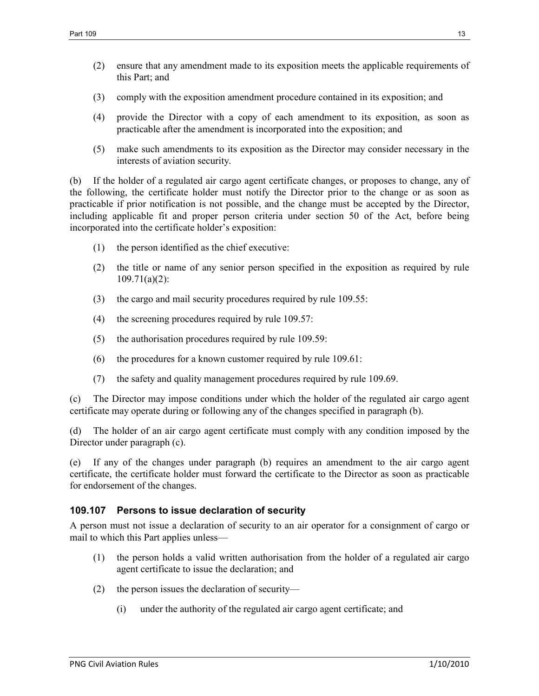- (2) ensure that any amendment made to its exposition meets the applicable requirements of this Part; and
- (3) comply with the exposition amendment procedure contained in its exposition; and
- (4) provide the Director with a copy of each amendment to its exposition, as soon as practicable after the amendment is incorporated into the exposition; and
- (5) make such amendments to its exposition as the Director may consider necessary in the interests of aviation security.

(b) If the holder of a regulated air cargo agent certificate changes, or proposes to change, any of the following, the certificate holder must notify the Director prior to the change or as soon as practicable if prior notification is not possible, and the change must be accepted by the Director, including applicable fit and proper person criteria under section 50 of the Act, before being incorporated into the certificate holder's exposition:

- (1) the person identified as the chief executive:
- (2) the title or name of any senior person specified in the exposition as required by rule 109.71(a)(2):
- (3) the cargo and mail security procedures required by rule 109.55:
- (4) the screening procedures required by rule 109.57:
- (5) the authorisation procedures required by rule 109.59:
- (6) the procedures for a known customer required by rule 109.61:
- (7) the safety and quality management procedures required by rule 109.69.

(c) The Director may impose conditions under which the holder of the regulated air cargo agent certificate may operate during or following any of the changes specified in paragraph (b).

(d) The holder of an air cargo agent certificate must comply with any condition imposed by the Director under paragraph (c).

(e) If any of the changes under paragraph (b) requires an amendment to the air cargo agent certificate, the certificate holder must forward the certificate to the Director as soon as practicable for endorsement of the changes.

## **109.107 Persons to issue declaration of security**

A person must not issue a declaration of security to an air operator for a consignment of cargo or mail to which this Part applies unless—

- (1) the person holds a valid written authorisation from the holder of a regulated air cargo agent certificate to issue the declaration; and
- (2) the person issues the declaration of security—
	- (i) under the authority of the regulated air cargo agent certificate; and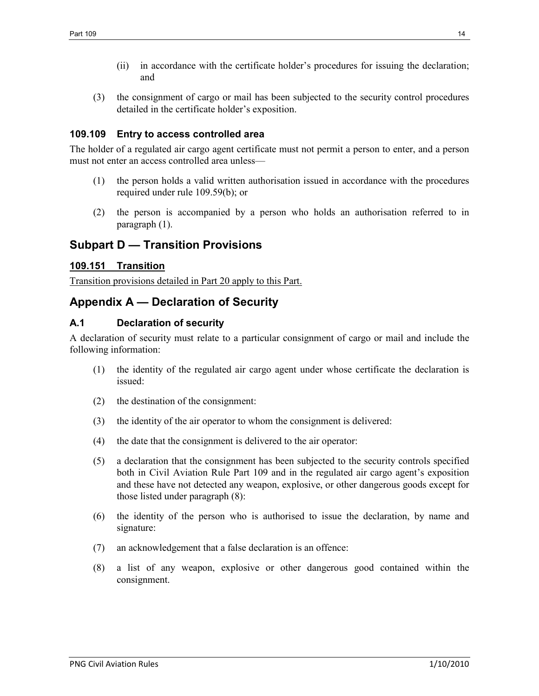- (ii) in accordance with the certificate holder's procedures for issuing the declaration; and
- (3) the consignment of cargo or mail has been subjected to the security control procedures detailed in the certificate holder's exposition.

#### **109.109 Entry to access controlled area**

The holder of a regulated air cargo agent certificate must not permit a person to enter, and a person must not enter an access controlled area unless—

- (1) the person holds a valid written authorisation issued in accordance with the procedures required under rule 109.59(b); or
- (2) the person is accompanied by a person who holds an authorisation referred to in paragraph (1).

# **Subpart D — Transition Provisions**

#### **109.151 Transition**

Transition provisions detailed in Part 20 apply to this Part.

# **Appendix A — Declaration of Security**

## **A.1 Declaration of security**

A declaration of security must relate to a particular consignment of cargo or mail and include the following information:

- (1) the identity of the regulated air cargo agent under whose certificate the declaration is issued:
- (2) the destination of the consignment:
- (3) the identity of the air operator to whom the consignment is delivered:
- (4) the date that the consignment is delivered to the air operator:
- (5) a declaration that the consignment has been subjected to the security controls specified both in Civil Aviation Rule Part 109 and in the regulated air cargo agent's exposition and these have not detected any weapon, explosive, or other dangerous goods except for those listed under paragraph (8):
- (6) the identity of the person who is authorised to issue the declaration, by name and signature:
- (7) an acknowledgement that a false declaration is an offence:
- (8) a list of any weapon, explosive or other dangerous good contained within the consignment.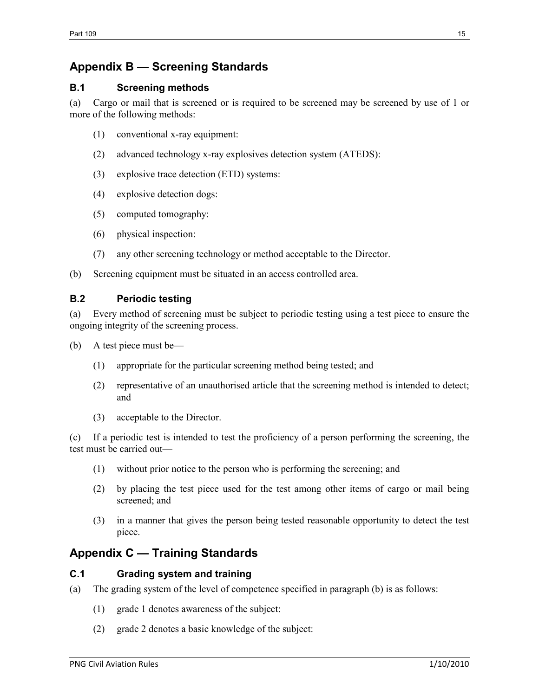# **Appendix B — Screening Standards**

## **B.1 Screening methods**

(a) Cargo or mail that is screened or is required to be screened may be screened by use of 1 or more of the following methods:

- (1) conventional x-ray equipment:
- (2) advanced technology x-ray explosives detection system (ATEDS):
- (3) explosive trace detection (ETD) systems:
- (4) explosive detection dogs:
- (5) computed tomography:
- (6) physical inspection:
- (7) any other screening technology or method acceptable to the Director.

(b) Screening equipment must be situated in an access controlled area.

## **B.2 Periodic testing**

(a) Every method of screening must be subject to periodic testing using a test piece to ensure the ongoing integrity of the screening process.

- (b) A test piece must be—
	- (1) appropriate for the particular screening method being tested; and
	- (2) representative of an unauthorised article that the screening method is intended to detect; and
	- (3) acceptable to the Director.

(c) If a periodic test is intended to test the proficiency of a person performing the screening, the test must be carried out—

- (1) without prior notice to the person who is performing the screening; and
- (2) by placing the test piece used for the test among other items of cargo or mail being screened; and
- (3) in a manner that gives the person being tested reasonable opportunity to detect the test piece.

# **Appendix C — Training Standards**

## **C.1 Grading system and training**

- (a) The grading system of the level of competence specified in paragraph (b) is as follows:
	- (1) grade 1 denotes awareness of the subject:
	- (2) grade 2 denotes a basic knowledge of the subject: